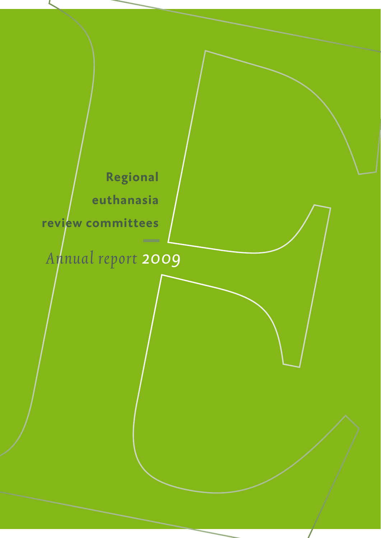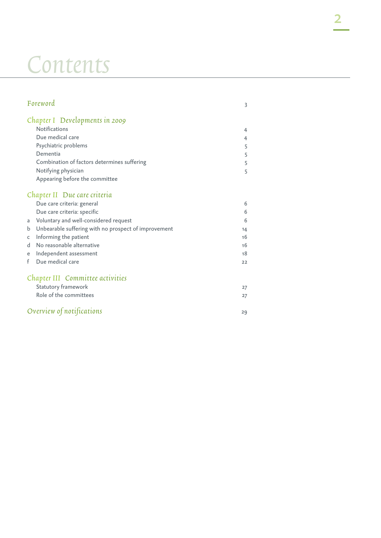## Contents

| Foreword                                                  | 3  |
|-----------------------------------------------------------|----|
| Chapter I Developments in 2009                            |    |
| <b>Notifications</b>                                      | 4  |
| Due medical care                                          | 4  |
| Psychiatric problems                                      | 5  |
| Dementia                                                  | 5  |
| Combination of factors determines suffering               | 5  |
| Notifying physician                                       | 5  |
| Appearing before the committee                            |    |
| Chapter II Due care criteria                              |    |
| Due care criteria: general                                | 6  |
| Due care criteria: specific                               | 6  |
| Voluntary and well-considered request<br>a                | 6  |
| Unbearable suffering with no prospect of improvement<br>b | 14 |
| Informing the patient<br>C                                | 16 |
| No reasonable alternative<br>d                            | 16 |
| Independent assessment<br>e                               | 18 |
| Due medical care<br>f                                     | 22 |
| Chapter III Committee activities                          |    |
| Statutory framework                                       | 27 |
| Role of the committees                                    | 27 |
| Overview of notifications                                 | 29 |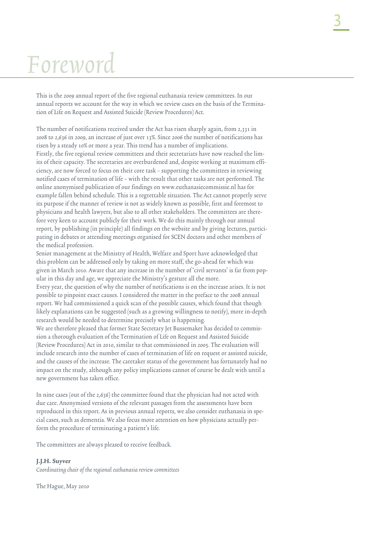# Foreword

This is the 2009 annual report of the five regional euthanasia review committees. In our annual reports we account for the way in which we review cases on the basis of the Termination of Life on Request and Assisted Suicide (Review Procedures) Act.

The number of notifications received under the Act has risen sharply again, from 2,331 in 2008 to 2,636 in 2009, an increase of just over 13%. Since 2006 the number of notifications has risen by a steady 10% or more a year. This trend has a number of implications. Firstly, the five regional review committees and their secretariats have now reached the limits of their capacity. The secretaries are overburdened and, despite working at maximum efficiency, are now forced to focus on their core task – supporting the committees in reviewing notified cases of termination of life – with the result that other tasks are not performed. The online anonymised publication of our findings on www.euthanasiecommissie.nl has for example fallen behind schedule. This is a regrettable situation. The Act cannot properly serve its purpose if the manner of review is not as widely known as possible, first and foremost to physicians and health lawyers, but also to all other stakeholders. The committees are therefore very keen to account publicly for their work. We do this mainly through our annual report, by publishing (in principle) all findings on the website and by giving lectures, participating in debates or attending meetings organised for SCEN doctors and other members of the medical profession.

Senior management at the Ministry of Health, Welfare and Sport have acknowledged that this problem can be addressed only by taking on more staff, the go-ahead for which was given in March 2010. Aware that any increase in the number of 'civil servants' is far from popular in this day and age, we appreciate the Ministry's gesture all the more.

Every year, the question of why the number of notifications is on the increase arises. It is not possible to pinpoint exact causes. I considered the matter in the preface to the 2008 annual report. We had commissioned a quick scan of the possible causes, which found that though likely explanations can be suggested (such as a growing willingness to notify), more in-depth research would be needed to determine precisely what is happening.

We are therefore pleased that former State Secretary Jet Bussemaker has decided to commission a thorough evaluation of the Termination of Life on Request and Assisted Suicide (Review Procedures) Act in 2010, similar to that commissioned in 2005. The evaluation will include research into the number of cases of termination of life on request or assisted suicide, and the causes of the increase. The caretaker status of the government has fortunately had no impact on the study, although any policy implications cannot of course be dealt with until a new government has taken office.

In nine cases (out of the 2,636) the committee found that the physician had not acted with due care. Anonymised versions of the relevant passages from the assessments have been reproduced in this report. As in previous annual reports, we also consider euthanasia in special cases, such as dementia. We also focus more attention on how physicians actually perform the procedure of terminating a patient's life.

The committees are always pleased to receive feedback.

#### J.J.H. Suyver

Coordinating chair of the regional euthanasia review committees

The Hague, May 2010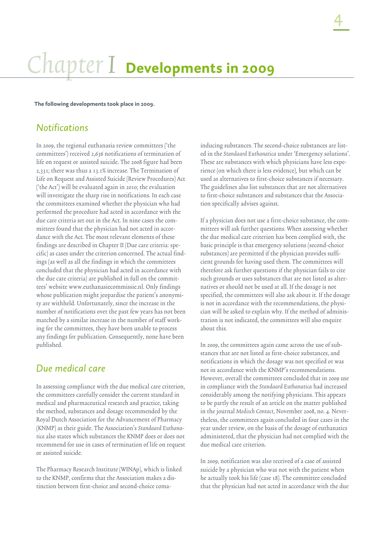## Chapter I **Developments in 2009**

**The following developments took place in 2009.**

## *Notifications*

In 2009, the regional euthanasia review committees ('the committees') received 2,636 notifications of termination of life on request or assisted suicide. The 2008 figure had been 2,331; there was thus a 13.1% increase. The Termination of Life on Request and Assisted Suicide (Review Procedures) Act ('the Act') will be evaluated again in 2010; the evaluation will investigate the sharp rise in notifications. In each case the committees examined whether the physician who had performed the procedure had acted in accordance with the due care criteria set out in the Act. In nine cases the committees found that the physician had not acted in accordance with the Act. The most relevant elements of these findings are described in Chapter II (Due care criteria: specific) as cases under the criterion concerned. The actual findings (as well as all the findings in which the committees concluded that the physician had acted in accordance with the due care criteria) are published in full on the committees' website www.euthanasiecommissie.nl. Only findings whose publication might jeopardise the patient's anonymity are withheld. Unfortunately, since the increase in the number of notifications over the past few years has not been matched by a similar increase in the number of staff working for the committees, they have been unable to process any findings for publication. Consequently, none have been published.

## *Due medical care*

In assessing compliance with the due medical care criterion, the committees carefully consider the current standard in medical and pharmaceutical research and practice, taking the method, substances and dosage recommended by the Royal Dutch Association for the Advancement of Pharmacy (KNMP) as their guide. The Association's Standaard Euthanatica also states which substances the KNMP does or does not recommend for use in cases of termination of life on request or assisted suicide.

The Pharmacy Research Institute (WINAp), which is linked to the KNMP, confirms that the Association makes a distinction between first-choice and second-choice comainducing substances. The second-choice substances are listed in the Standaard Euthanatica under 'Emergency solutions'. These are substances with which physicians have less experience (on which there is less evidence), but which can be used as alternatives to first-choice substances if necessary. The guidelines also list substances that are not alternatives to first-choice substances and substances that the Association specifically advises against.

If a physician does not use a first-choice substance, the committees will ask further questions. When assessing whether the due medical care criterion has been complied with, the basic principle is that emergency solutions (second-choice substances) are permitted if the physician provides sufficient grounds for having used them. The committees will therefore ask further questions if the physician fails to cite such grounds or uses substances that are not listed as alternatives or should not be used at all. If the dosage is not specified, the committees will also ask about it. If the dosage is not in accordance with the recommendations, the physician will be asked to explain why. If the method of administration is not indicated, the committees will also enquire about this.

In 2009, the committees again came across the use of substances that are not listed as first-choice substances, and notifications in which the dosage was not specified or was not in accordance with the KNMP's recommendations. However, overall the committees concluded that in 2009 use in compliance with the Standaard Euthanatica had increased considerably among the notifying physicians. This appears to be partly the result of an article on the matter published in the journal Medisch Contact, November 2008, no. 4. Nevertheless, the committees again concluded in four cases in the year under review, on the basis of the dosage of euthanatics administered, that the physician had not complied with the due medical care criterion.

In 2009, notification was also received of a case of assisted suicide by a physician who was not with the patient when he actually took his life (case 18). The committee concluded that the physician had not acted in accordance with the due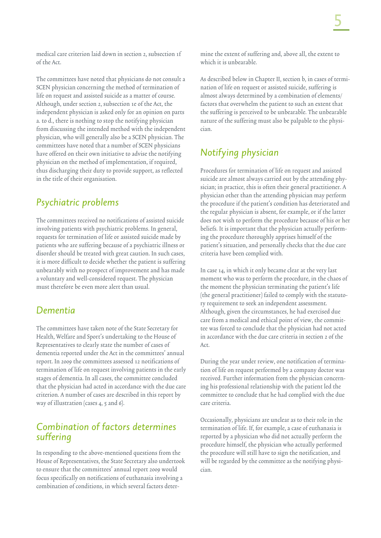medical care criterion laid down in section 2, subsection 1f of the Act.

The committees have noted that physicians do not consult a SCEN physician concerning the method of termination of life on request and assisted suicide as a matter of course. Although, under section 2, subsection 1e of the Act, the independent physician is asked only for an opinion on parts a. to d., there is nothing to stop the notifying physician from discussing the intended method with the independent physician, who will generally also be a SCEN physician. The committees have noted that a number of SCEN physicians have offered on their own initiative to advise the notifying physician on the method of implementation, if required, thus discharging their duty to provide support, as reflected in the title of their organisation.

## *Psychiatric problems*

The committees received no notifications of assisted suicide involving patients with psychiatric problems. In general, requests for termination of life or assisted suicide made by patients who are suffering because of a psychiatric illness or disorder should be treated with great caution. In such cases, it is more difficult to decide whether the patient is suffering unbearably with no prospect of improvement and has made a voluntary and well-considered request. The physician must therefore be even more alert than usual.

## *Dementia*

The committees have taken note of the State Secretary for Health, Welfare and Sport's undertaking to the House of Representatives to clearly state the number of cases of dementia reported under the Act in the committees' annual report. In 2009 the committees assessed 12 notifications of termination of life on request involving patients in the early stages of dementia. In all cases, the committee concluded that the physician had acted in accordance with the due care criterion. A number of cases are described in this report by way of illustration (cases 4, 5 and 6).

## *Combination of factors determines suffering*

In responding to the above-mentioned questions from the House of Representatives, the State Secretary also undertook to ensure that the committees' annual report 2009 would focus specifically on notifications of euthanasia involving a combination of conditions, in which several factors determine the extent of suffering and, above all, the extent to which it is unbearable.

As described below in Chapter II, section b, in cases of termination of life on request or assisted suicide, suffering is almost always determined by a combination of elements/ factors that overwhelm the patient to such an extent that the suffering is perceived to be unbearable. The unbearable nature of the suffering must also be palpable to the physician.

## *Notifying physician*

Procedures for termination of life on request and assisted suicide are almost always carried out by the attending physician; in practice, this is often their general practitioner. A physician other than the attending physician may perform the procedure if the patient's condition has deteriorated and the regular physician is absent, for example, or if the latter does not wish to perform the procedure because of his or her beliefs. It is important that the physician actually performing the procedure thoroughly apprises himself of the patient's situation, and personally checks that the due care criteria have been complied with.

In case 14, in which it only became clear at the very last moment who was to perform the procedure, in the chaos of the moment the physician terminating the patient's life (the general practitioner) failed to comply with the statutory requirement to seek an independent assessment. Although, given the circumstances, he had exercised due care from a medical and ethical point of view, the committee was forced to conclude that the physician had not acted in accordance with the due care criteria in section 2 of the Act.

During the year under review, one notification of termination of life on request performed by a company doctor was received. Further information from the physician concerning his professional relationship with the patient led the committee to conclude that he had complied with the due care criteria.

Occasionally, physicians are unclear as to their role in the termination of life. If, for example, a case of euthanasia is reported by a physician who did not actually perform the procedure himself, the physician who actually performed the procedure will still have to sign the notification, and will be regarded by the committee as the notifying physician.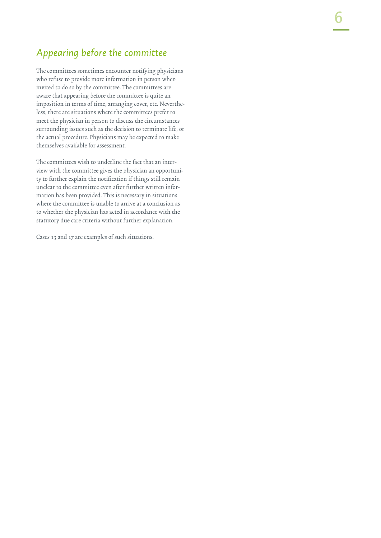## *Appearing before the committee*

The committees sometimes encounter notifying physicians who refuse to provide more information in person when invited to do so by the committee. The committees are aware that appearing before the committee is quite an imposition in terms of time, arranging cover, etc. Nevertheless, there are situations where the committees prefer to meet the physician in person to discuss the circumstances surrounding issues such as the decision to terminate life, or the actual procedure. Physicians may be expected to make themselves available for assessment.

The committees wish to underline the fact that an interview with the committee gives the physician an opportunity to further explain the notification if things still remain unclear to the committee even after further written information has been provided. This is necessary in situations where the committee is unable to arrive at a conclusion as to whether the physician has acted in accordance with the statutory due care criteria without further explanation.

Cases 13 and 17 are examples of such situations.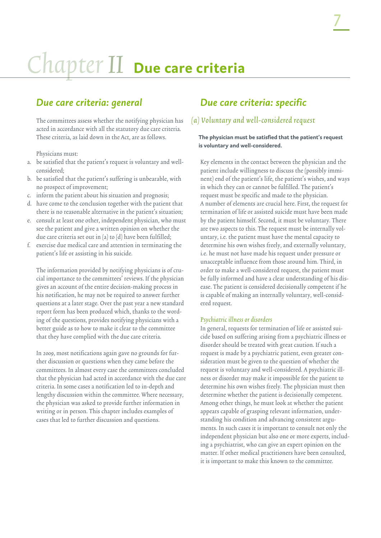# Chapter II **Due care criteria**

## *Due care criteria: general*

The committees assess whether the notifying physician has acted in accordance with all the statutory due care criteria. These criteria, as laid down in the Act, are as follows.

Physicians must:

- a. be satisfied that the patient's request is voluntary and wellconsidered;
- b. be satisfied that the patient's suffering is unbearable, with no prospect of improvement;
- c. inform the patient about his situation and prognosis;
- d. have come to the conclusion together with the patient that there is no reasonable alternative in the patient's situation;
- e. consult at least one other, independent physician, who must see the patient and give a written opinion on whether the due care criteria set out in (a) to (d) have been fulfilled;
- f. exercise due medical care and attention in terminating the patient's life or assisting in his suicide.

The information provided by notifying physicians is of crucial importance to the committees' reviews. If the physician gives an account of the entire decision-making process in his notification, he may not be required to answer further questions at a later stage. Over the past year a new standard report form has been produced which, thanks to the wording of the questions, provides notifying physicians with a better guide as to how to make it clear to the committee that they have complied with the due care criteria.

In 2009, most notifications again gave no grounds for further discussion or questions when they came before the committees. In almost every case the committees concluded that the physician had acted in accordance with the due care criteria. In some cases a notification led to in-depth and lengthy discussion within the committee. Where necessary, the physician was asked to provide further information in writing or in person. This chapter includes examples of cases that led to further discussion and questions.

## *Due care criteria: specific*

### (a) Voluntary and well-considered request

#### **The physician must be satisfied that the patient's request is voluntary and well-considered.**

Key elements in the contact between the physician and the patient include willingness to discuss the (possibly imminent) end of the patient's life, the patient's wishes, and ways in which they can or cannot be fulfilled. The patient's request must be specific and made to the physician. A number of elements are crucial here. First, the request for termination of life or assisted suicide must have been made by the patient himself. Second, it must be voluntary. There are two aspects to this. The request must be internally voluntary, i.e. the patient must have the mental capacity to determine his own wishes freely, and externally voluntary, i.e. he must not have made his request under pressure or unacceptable influence from those around him. Third, in order to make a well-considered request, the patient must be fully informed and have a clear understanding of his disease. The patient is considered decisionally competent if he is capable of making an internally voluntary, well-considered request.

#### Psychiatric illness or disorders

In general, requests for termination of life or assisted suicide based on suffering arising from a psychiatric illness or disorder should be treated with great caution. If such a request is made by a psychiatric patient, even greater consideration must be given to the question of whether the request is voluntary and well-considered. A psychiatric illness or disorder may make it impossible for the patient to determine his own wishes freely. The physician must then determine whether the patient is decisionally competent. Among other things, he must look at whether the patient appears capable of grasping relevant information, understanding his condition and advancing consistent arguments. In such cases it is important to consult not only the independent physician but also one or more experts, including a psychiatrist, who can give an expert opinion on the matter. If other medical practitioners have been consulted, it is important to make this known to the committee.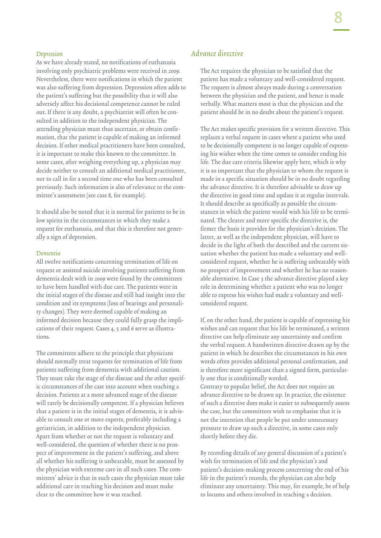#### Depression

As we have already stated, no notifications of euthanasia involving only psychiatric problems were received in 2009. Nevertheless, there were notifications in which the patient was also suffering from depression. Depression often adds to the patient's suffering but the possibility that it will also adversely affect his decisional competence cannot be ruled out. If there is any doubt, a psychiatrist will often be consulted in addition to the independent physician. The attending physician must thus ascertain, or obtain confirmation, that the patient is capable of making an informed decision. If other medical practitioners have been consulted, it is important to make this known to the committee. In some cases, after weighing everything up, a physician may decide neither to consult an additional medical practitioner, nor to call in for a second time one who has been consulted previously. Such information is also of relevance to the committee's assessment (see case 8, for example).

It should also be noted that it is normal for patients to be in low spirits in the circumstances in which they make a request for euthanasia, and that this is therefore not generally a sign of depression.

#### Dementia

All twelve notifications concerning termination of life on request or assisted suicide involving patients suffering from dementia dealt with in 2009 were found by the committees to have been handled with due care. The patients were in the initial stages of the disease and still had insight into the condition and its symptoms (loss of bearings and personality changes). They were deemed capable of making an informed decision because they could fully grasp the implications of their request. Cases 4, 5 and 6 serve as illustrations.

The committees adhere to the principle that physicians should normally treat requests for termination of life from patients suffering from dementia with additional caution. They must take the stage of the disease and the other specific circumstances of the case into account when reaching a decision. Patients at a more advanced stage of the disease will rarely be decisionally competent. If a physician believes that a patient is in the initial stages of dementia, it is advisable to consult one or more experts, preferably including a geriatrician, in addition to the independent physician. Apart from whether or not the request is voluntary and well-considered, the question of whether there is no prospect of improvement in the patient's suffering, and above all whether his suffering is unbearable, must be assessed by the physician with extreme care in all such cases. The committees' advice is that in such cases the physician must take additional care in reaching his decision and must make clear to the committee how it was reached.

#### Advance directive

The Act requires the physician to be satisfied that the patient has made a voluntary and well-considered request. The request is almost always made during a conversation between the physician and the patient, and hence is made verbally. What matters most is that the physician and the patient should be in no doubt about the patient's request.

The Act makes specific provision for a written directive. This replaces a verbal request in cases where a patient who used to be decisionally competent is no longer capable of expressing his wishes when the time comes to consider ending his life. The due care criteria likewise apply here, which is why it is so important that the physician to whom the request is made in a specific situation should be in no doubt regarding the advance directive. It is therefore advisable to draw up the directive in good time and update it at regular intervals. It should describe as specifically as possible the circumstances in which the patient would wish his life to be terminated. The clearer and more specific the directive is, the firmer the basis it provides for the physician's decision. The latter, as well as the independent physician, will have to decide in the light of both the described and the current situation whether the patient has made a voluntary and wellconsidered request, whether he is suffering unbearably with no prospect of improvement and whether he has no reasonable alternative. In Case 3 the advance directive played a key role in determining whether a patient who was no longer able to express his wishes had made a voluntary and wellconsidered request.

If, on the other hand, the patient is capable of expressing his wishes and can request that his life be terminated, a written directive can help eliminate any uncertainty and confirm the verbal request. A handwritten directive drawn up by the patient in which he describes the circumstances in his own words often provides additional personal confirmation, and is therefore more significant than a signed form, particularly one that is conditionally worded. Contrary to popular belief, the Act does not require an advance directive to be drawn up. In practice, the existence of such a directive does make it easier to subsequently assess the case, but the committees wish to emphasise that it is not the intention that people be put under unnecessary pressure to draw up such a directive, in some cases only shortly before they die.

By recording details of any general discussion of a patient's wish for termination of life and the physician's and patient's decision-making process concerning the end of his life in the patient's records, the physician can also help eliminate any uncertainty. This may, for example, be of help to locums and others involved in reaching a decision.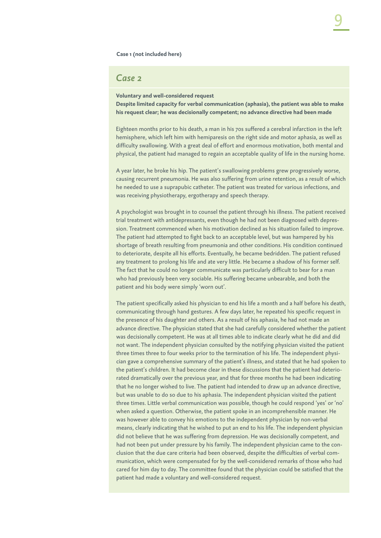#### **Case 1 (not included here)**

#### *Case 2*

**Voluntary and well-considered request Despite limited capacity for verbal communication (aphasia), the patient was able to make his request clear; he was decisionally competent; no advance directive had been made**

Eighteen months prior to his death, a man in his 70s suffered a cerebral infarction in the left hemisphere, which left him with hemiparesis on the right side and motor aphasia, as well as difficulty swallowing. With a great deal of effort and enormous motivation, both mental and physical, the patient had managed to regain an acceptable quality of life in the nursing home.

A year later, he broke his hip. The patient's swallowing problems grew progressively worse, causing recurrent pneumonia. He was also suffering from urine retention, as a result of which he needed to use a suprapubic catheter. The patient was treated for various infections, and was receiving physiotherapy, ergotherapy and speech therapy.

A psychologist was brought in to counsel the patient through his illness. The patient received trial treatment with antidepressants, even though he had not been diagnosed with depression. Treatment commenced when his motivation declined as his situation failed to improve. The patient had attempted to fight back to an acceptable level, but was hampered by his shortage of breath resulting from pneumonia and other conditions. His condition continued to deteriorate, despite all his efforts. Eventually, he became bedridden. The patient refused any treatment to prolong his life and ate very little. He became a shadow of his former self. The fact that he could no longer communicate was particularly difficult to bear for a man who had previously been very sociable. His suffering became unbearable, and both the patient and his body were simply 'worn out'.

The patient specifically asked his physician to end his life a month and a half before his death, communicating through hand gestures. A few days later, he repeated his specific request in the presence of his daughter and others. As a result of his aphasia, he had not made an advance directive. The physician stated that she had carefully considered whether the patient was decisionally competent. He was at all times able to indicate clearly what he did and did not want. The independent physician consulted by the notifying physician visited the patient three times three to four weeks prior to the termination of his life. The independent physician gave a comprehensive summary of the patient's illness, and stated that he had spoken to the patient's children. It had become clear in these discussions that the patient had deteriorated dramatically over the previous year, and that for three months he had been indicating that he no longer wished to live. The patient had intended to draw up an advance directive, but was unable to do so due to his aphasia. The independent physician visited the patient three times. Little verbal communication was possible, though he could respond 'yes' or 'no' when asked a question. Otherwise, the patient spoke in an incomprehensible manner. He was however able to convey his emotions to the independent physician by non-verbal means, clearly indicating that he wished to put an end to his life. The independent physician did not believe that he was suffering from depression. He was decisionally competent, and had not been put under pressure by his family. The independent physician came to the conclusion that the due care criteria had been observed, despite the difficulties of verbal communication, which were compensated for by the well-considered remarks of those who had cared for him day to day. The committee found that the physician could be satisfied that the patient had made a voluntary and well-considered request.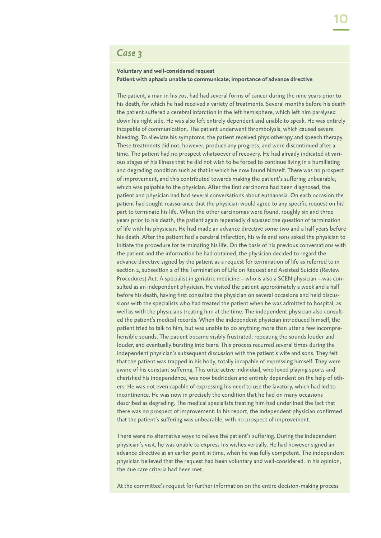## *Case 3*

#### **Voluntary and well-considered request Patient with aphasia unable to communicate; importance of advance directive**

The patient, a man in his 70s, had had several forms of cancer during the nine years prior to his death, for which he had received a variety of treatments. Several months before his death the patient suffered a cerebral infarction in the left hemisphere, which left him paralysed down his right side. He was also left entirely dependent and unable to speak. He was entirely incapable of communication. The patient underwent thrombolysis, which caused severe bleeding. To alleviate his symptoms, the patient received physiotherapy and speech therapy. These treatments did not, however, produce any progress, and were discontinued after a time. The patient had no prospect whatsoever of recovery. He had already indicated at various stages of his illness that he did not wish to be forced to continue living in a humiliating and degrading condition such as that in which he now found himself. There was no prospect of improvement, and this contributed towards making the patient's suffering unbearable, which was palpable to the physician. After the first carcinoma had been diagnosed, the patient and physician had had several conversations about euthanasia. On each occasion the patient had sought reassurance that the physician would agree to any specific request on his part to terminate his life. When the other carcinomas were found, roughly six and three years prior to his death, the patient again repeatedly discussed the question of termination of life with his physician. He had made an advance directive some two and a half years before his death. After the patient had a cerebral infarction, his wife and sons asked the physician to initiate the procedure for terminating his life. On the basis of his previous conversations with the patient and the information he had obtained, the physician decided to regard the advance directive signed by the patient as a request for termination of life as referred to in section 2, subsection 2 of the Termination of Life on Request and Assisted Suicide (Review Procedures) Act. A specialist in geriatric medicine – who is also a SCEN physician – was consulted as an independent physician. He visited the patient approximately a week and a half before his death, having first consulted the physician on several occasions and held discussions with the specialists who had treated the patient when he was admitted to hospital, as well as with the physicians treating him at the time. The independent physician also consulted the patient's medical records. When the independent physician introduced himself, the patient tried to talk to him, but was unable to do anything more than utter a few incomprehensible sounds. The patient became visibly frustrated, repeating the sounds louder and louder, and eventually bursting into tears. This process recurred several times during the independent physician's subsequent discussion with the patient's wife and sons. They felt that the patient was trapped in his body, totally incapable of expressing himself. They were aware of his constant suffering. This once active individual, who loved playing sports and cherished his independence, was now bedridden and entirely dependent on the help of others. He was not even capable of expressing his need to use the lavatory, which had led to incontinence. He was now in precisely the condition that he had on many occasions described as degrading. The medical specialists treating him had underlined the fact that there was no prospect of improvement. In his report, the independent physician confirmed that the patient's suffering was unbearable, with no prospect of improvement.

There were no alternative ways to relieve the patient's suffering. During the independent physician's visit, he was unable to express his wishes verbally. He had however signed an advance directive at an earlier point in time, when he was fully competent. The independent physician believed that the request had been voluntary and well-considered. In his opinion, the due care criteria had been met.

At the committee's request for further information on the entire decision-making process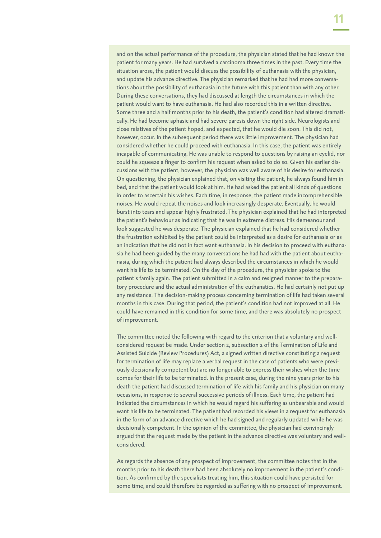and on the actual performance of the procedure, the physician stated that he had known the patient for many years. He had survived a carcinoma three times in the past. Every time the situation arose, the patient would discuss the possibility of euthanasia with the physician, and update his advance directive. The physician remarked that he had had more conversations about the possibility of euthanasia in the future with this patient than with any other. During these conversations, they had discussed at length the circumstances in which the patient would want to have euthanasia. He had also recorded this in a written directive. Some three and a half months prior to his death, the patient's condition had altered dramatically. He had become aphasic and had severe paresis down the right side. Neurologists and close relatives of the patient hoped, and expected, that he would die soon. This did not, however, occur. In the subsequent period there was little improvement. The physician had considered whether he could proceed with euthanasia. In this case, the patient was entirely incapable of communicating. He was unable to respond to questions by raising an eyelid, nor could he squeeze a finger to confirm his request when asked to do so. Given his earlier discussions with the patient, however, the physician was well aware of his desire for euthanasia. On questioning, the physician explained that, on visiting the patient, he always found him in bed, and that the patient would look at him. He had asked the patient all kinds of questions in order to ascertain his wishes. Each time, in response, the patient made incomprehensible noises. He would repeat the noises and look increasingly desperate. Eventually, he would burst into tears and appear highly frustrated. The physician explained that he had interpreted the patient's behaviour as indicating that he was in extreme distress. His demeanour and look suggested he was desperate. The physician explained that he had considered whether the frustration exhibited by the patient could be interpreted as a desire for euthanasia or as an indication that he did not in fact want euthanasia. In his decision to proceed with euthanasia he had been guided by the many conversations he had had with the patient about euthanasia, during which the patient had always described the circumstances in which he would want his life to be terminated. On the day of the procedure, the physician spoke to the patient's family again. The patient submitted in a calm and resigned manner to the preparatory procedure and the actual administration of the euthanatics. He had certainly not put up any resistance. The decision-making process concerning termination of life had taken several months in this case. During that period, the patient's condition had not improved at all. He could have remained in this condition for some time, and there was absolutely no prospect of improvement.

The committee noted the following with regard to the criterion that a voluntary and wellconsidered request be made. Under section 2, subsection 2 of the Termination of Life and Assisted Suicide (Review Procedures) Act, a signed written directive constituting a request for termination of life may replace a verbal request in the case of patients who were previously decisionally competent but are no longer able to express their wishes when the time comes for their life to be terminated. In the present case, during the nine years prior to his death the patient had discussed termination of life with his family and his physician on many occasions, in response to several successive periods of illness. Each time, the patient had indicated the circumstances in which he would regard his suffering as unbearable and would want his life to be terminated. The patient had recorded his views in a request for euthanasia in the form of an advance directive which he had signed and regularly updated while he was decisionally competent. In the opinion of the committee, the physician had convincingly argued that the request made by the patient in the advance directive was voluntary and wellconsidered.

As regards the absence of any prospect of improvement, the committee notes that in the months prior to his death there had been absolutely no improvement in the patient's condition. As confirmed by the specialists treating him, this situation could have persisted for some time, and could therefore be regarded as suffering with no prospect of improvement.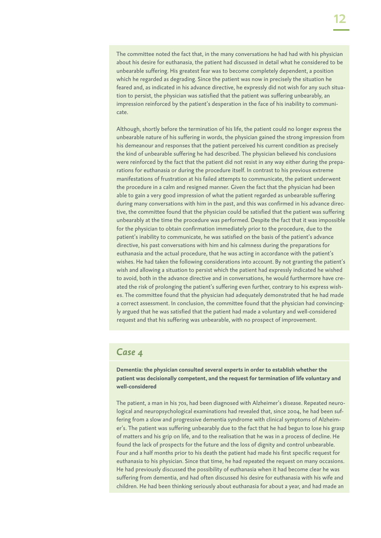The committee noted the fact that, in the many conversations he had had with his physician about his desire for euthanasia, the patient had discussed in detail what he considered to be unbearable suffering. His greatest fear was to become completely dependent, a position which he regarded as degrading. Since the patient was now in precisely the situation he feared and, as indicated in his advance directive, he expressly did not wish for any such situation to persist, the physician was satisfied that the patient was suffering unbearably, an impression reinforced by the patient's desperation in the face of his inability to communicate.

Although, shortly before the termination of his life, the patient could no longer express the unbearable nature of his suffering in words, the physician gained the strong impression from his demeanour and responses that the patient perceived his current condition as precisely the kind of unbearable suffering he had described. The physician believed his conclusions were reinforced by the fact that the patient did not resist in any way either during the preparations for euthanasia or during the procedure itself. In contrast to his previous extreme manifestations of frustration at his failed attempts to communicate, the patient underwent the procedure in a calm and resigned manner. Given the fact that the physician had been able to gain a very good impression of what the patient regarded as unbearable suffering during many conversations with him in the past, and this was confirmed in his advance directive, the committee found that the physician could be satisfied that the patient was suffering unbearably at the time the procedure was performed. Despite the fact that it was impossible for the physician to obtain confirmation immediately prior to the procedure, due to the patient's inability to communicate, he was satisfied on the basis of the patient's advance directive, his past conversations with him and his calmness during the preparations for euthanasia and the actual procedure, that he was acting in accordance with the patient's wishes. He had taken the following considerations into account. By not granting the patient's wish and allowing a situation to persist which the patient had expressly indicated he wished to avoid, both in the advance directive and in conversations, he would furthermore have created the risk of prolonging the patient's suffering even further, contrary to his express wishes. The committee found that the physician had adequately demonstrated that he had made a correct assessment. In conclusion, the committee found that the physician had convincingly argued that he was satisfied that the patient had made a voluntary and well-considered request and that his suffering was unbearable, with no prospect of improvement.

#### *Case 4*

**Dementia: the physician consulted several experts in order to establish whether the patient was decisionally competent, and the request for termination of life voluntary and well-considered**

The patient, a man in his 70s, had been diagnosed with Alzheimer's disease. Repeated neurological and neuropsychological examinations had revealed that, since 2004, he had been suffering from a slow and progressive dementia syndrome with clinical symptoms of Alzheimer's. The patient was suffering unbearably due to the fact that he had begun to lose his grasp of matters and his grip on life, and to the realisation that he was in a process of decline. He found the lack of prospects for the future and the loss of dignity and control unbearable. Four and a half months prior to his death the patient had made his first specific request for euthanasia to his physician. Since that time, he had repeated the request on many occasions. He had previously discussed the possibility of euthanasia when it had become clear he was suffering from dementia, and had often discussed his desire for euthanasia with his wife and children. He had been thinking seriously about euthanasia for about a year, and had made an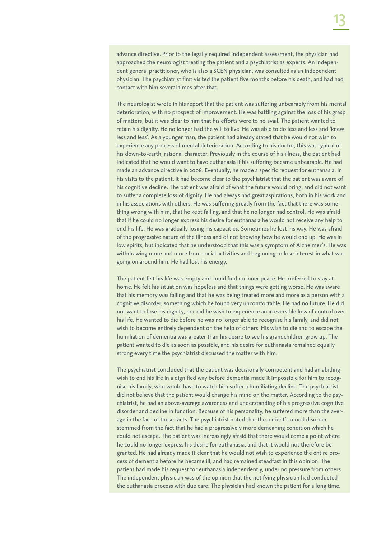The neurologist wrote in his report that the patient was suffering unbearably from his mental deterioration, with no prospect of improvement. He was battling against the loss of his grasp of matters, but it was clear to him that his efforts were to no avail. The patient wanted to retain his dignity. He no longer had the will to live. He was able to do less and less and 'knew less and less'. As a younger man, the patient had already stated that he would not wish to experience any process of mental deterioration. According to his doctor, this was typical of his down-to-earth, rational character. Previously in the course of his illness, the patient had indicated that he would want to have euthanasia if his suffering became unbearable. He had made an advance directive in 2008. Eventually, he made a specific request for euthanasia. In his visits to the patient, it had become clear to the psychiatrist that the patient was aware of his cognitive decline. The patient was afraid of what the future would bring, and did not want to suffer a complete loss of dignity. He had always had great aspirations, both in his work and in his associations with others. He was suffering greatly from the fact that there was something wrong with him, that he kept failing, and that he no longer had control. He was afraid that if he could no longer express his desire for euthanasia he would not receive any help to end his life. He was gradually losing his capacities. Sometimes he lost his way. He was afraid of the progressive nature of the illness and of not knowing how he would end up. He was in low spirits, but indicated that he understood that this was a symptom of Alzheimer's. He was withdrawing more and more from social activities and beginning to lose interest in what was going on around him. He had lost his energy.

The patient felt his life was empty and could find no inner peace. He preferred to stay at home. He felt his situation was hopeless and that things were getting worse. He was aware that his memory was failing and that he was being treated more and more as a person with a cognitive disorder, something which he found very uncomfortable. He had no future. He did not want to lose his dignity, nor did he wish to experience an irreversible loss of control over his life. He wanted to die before he was no longer able to recognise his family, and did not wish to become entirely dependent on the help of others. His wish to die and to escape the humiliation of dementia was greater than his desire to see his grandchildren grow up. The patient wanted to die as soon as possible, and his desire for euthanasia remained equally strong every time the psychiatrist discussed the matter with him.

The psychiatrist concluded that the patient was decisionally competent and had an abiding wish to end his life in a dignified way before dementia made it impossible for him to recognise his family, who would have to watch him suffer a humiliating decline. The psychiatrist did not believe that the patient would change his mind on the matter. According to the psychiatrist, he had an above-average awareness and understanding of his progressive cognitive disorder and decline in function. Because of his personality, he suffered more than the average in the face of these facts. The psychiatrist noted that the patient's mood disorder stemmed from the fact that he had a progressively more demeaning condition which he could not escape. The patient was increasingly afraid that there would come a point where he could no longer express his desire for euthanasia, and that it would not therefore be granted. He had already made it clear that he would not wish to experience the entire process of dementia before he became ill, and had remained steadfast in this opinion. The patient had made his request for euthanasia independently, under no pressure from others. The independent physician was of the opinion that the notifying physician had conducted the euthanasia process with due care. The physician had known the patient for a long time.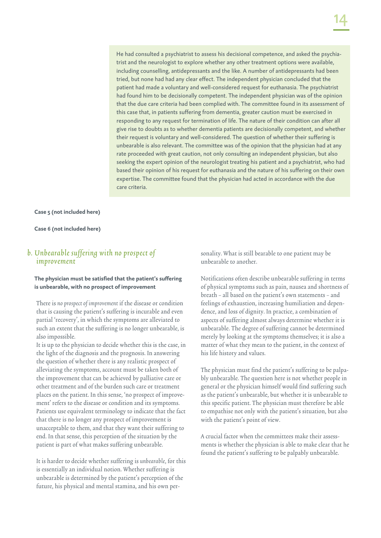He had consulted a psychiatrist to assess his decisional competence, and asked the psychiatrist and the neurologist to explore whether any other treatment options were available, including counselling, antidepressants and the like. A number of antidepressants had been tried, but none had had any clear effect. The independent physician concluded that the patient had made a voluntary and well-considered request for euthanasia. The psychiatrist had found him to be decisionally competent. The independent physician was of the opinion that the due care criteria had been complied with. The committee found in its assessment of this case that, in patients suffering from dementia, greater caution must be exercised in responding to any request for termination of life. The nature of their condition can after all give rise to doubts as to whether dementia patients are decisionally competent, and whether their request is voluntary and well-considered. The question of whether their suffering is unbearable is also relevant. The committee was of the opinion that the physician had at any rate proceeded with great caution, not only consulting an independent physician, but also seeking the expert opinion of the neurologist treating his patient and a psychiatrist, who had based their opinion of his request for euthanasia and the nature of his suffering on their own expertise. The committee found that the physician had acted in accordance with the due care criteria.

#### **Case 5 (not included here)**

**Case 6 (not included here)**

#### b. Unbearable suffering with no prospect of improvement

#### **The physician must be satisfied that the patient's suffering is unbearable, with no prospect of improvement**

There is no prospect of improvement if the disease or condition that is causing the patient's suffering is incurable and even partial 'recovery', in which the symptoms are alleviated to such an extent that the suffering is no longer unbearable, is also impossible.

It is up to the physician to decide whether this is the case, in the light of the diagnosis and the prognosis. In answering the question of whether there is any realistic prospect of alleviating the symptoms, account must be taken both of the improvement that can be achieved by palliative care or other treatment and of the burden such care or treatment places on the patient. In this sense, 'no prospect of improvement' refers to the disease or condition and its symptoms. Patients use equivalent terminology to indicate that the fact that there is no longer any prospect of improvement is unacceptable to them, and that they want their suffering to end. In that sense, this perception of the situation by the patient is part of what makes suffering unbearable.

It is harder to decide whether suffering is unbearable, for this is essentially an individual notion. Whether suffering is unbearable is determined by the patient's perception of the future, his physical and mental stamina, and his own personality. What is still bearable to one patient may be unbearable to another.

Notifications often describe unbearable suffering in terms of physical symptoms such as pain, nausea and shortness of breath – all based on the patient's own statements – and feelings of exhaustion, increasing humiliation and dependence, and loss of dignity. In practice, a combination of aspects of suffering almost always determine whether it is unbearable. The degree of suffering cannot be determined merely by looking at the symptoms themselves; it is also a matter of what they mean to the patient, in the context of his life history and values.

The physician must find the patient's suffering to be palpably unbearable. The question here is not whether people in general or the physician himself would find suffering such as the patient's unbearable, but whether it is unbearable to this specific patient. The physician must therefore be able to empathise not only with the patient's situation, but also with the patient's point of view.

A crucial factor when the committees make their assessments is whether the physician is able to make clear that he found the patient's suffering to be palpably unbearable.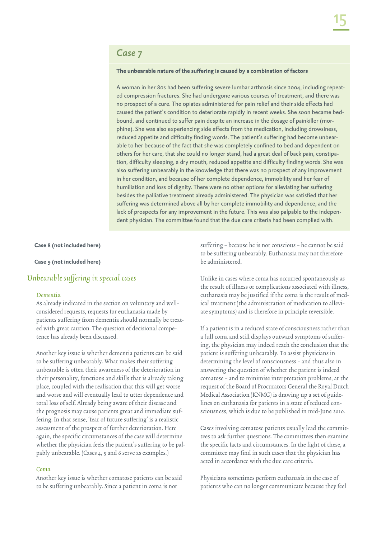### *Case 7*

#### **The unbearable nature of the suffering is caused by a combination of factors**

A woman in her 80s had been suffering severe lumbar arthrosis since 2004, including repeated compression fractures. She had undergone various courses of treatment, and there was no prospect of a cure. The opiates administered for pain relief and their side effects had caused the patient's condition to deteriorate rapidly in recent weeks. She soon became bedbound, and continued to suffer pain despite an increase in the dosage of painkiller (morphine). She was also experiencing side effects from the medication, including drowsiness, reduced appetite and difficulty finding words. The patient's suffering had become unbearable to her because of the fact that she was completely confined to bed and dependent on others for her care, that she could no longer stand, had a great deal of back pain, constipation, difficulty sleeping, a dry mouth, reduced appetite and difficulty finding words. She was also suffering unbearably in the knowledge that there was no prospect of any improvement in her condition, and because of her complete dependence, immobility and her fear of humiliation and loss of dignity. There were no other options for alleviating her suffering besides the palliative treatment already administered. The physician was satisfied that her suffering was determined above all by her complete immobility and dependence, and the lack of prospects for any improvement in the future. This was also palpable to the independent physician. The committee found that the due care criteria had been complied with.

#### **Case 8 (not included here)**

#### **Case 9 (not included here)**

#### Unbearable suffering in special cases

#### Dementia

As already indicated in the section on voluntary and wellconsidered requests, requests for euthanasia made by patients suffering from dementia should normally be treated with great caution. The question of decisional competence has already been discussed.

Another key issue is whether dementia patients can be said to be suffering unbearably. What makes their suffering unbearable is often their awareness of the deterioration in their personality, functions and skills that is already taking place, coupled with the realisation that this will get worse and worse and will eventually lead to utter dependence and total loss of self. Already being aware of their disease and the prognosis may cause patients great and immediate suffering. In that sense, 'fear of future suffering' is a realistic assessment of the prospect of further deterioration. Here again, the specific circumstances of the case will determine whether the physician feels the patient's suffering to be palpably unbearable. (Cases 4, 5 and 6 serve as examples.)

#### Coma

Another key issue is whether comatose patients can be said to be suffering unbearably. Since a patient in coma is not

suffering – because he is not conscious – he cannot be said to be suffering unbearably. Euthanasia may not therefore be administered.

Unlike in cases where coma has occurred spontaneously as the result of illness or complications associated with illness, euthanasia may be justified if the coma is the result of medical treatment (the administration of medication to alleviate symptoms) and is therefore in principle reversible.

If a patient is in a reduced state of consciousness rather than a full coma and still displays outward symptoms of suffering, the physician may indeed reach the conclusion that the patient is suffering unbearably. To assist physicians in determining the level of consciousness – and thus also in answering the question of whether the patient is indeed comatose – and to minimise interpretation problems, at the request of the Board of Procurators General the Royal Dutch Medical Association (KNMG) is drawing up a set of guidelines on euthanasia for patients in a state of reduced consciousness, which is due to be published in mid-June 2010.

Cases involving comatose patients usually lead the committees to ask further questions. The committees then examine the specific facts and circumstances. In the light of these, a committee may find in such cases that the physician has acted in accordance with the due care criteria.

Physicians sometimes perform euthanasia in the case of patients who can no longer communicate because they feel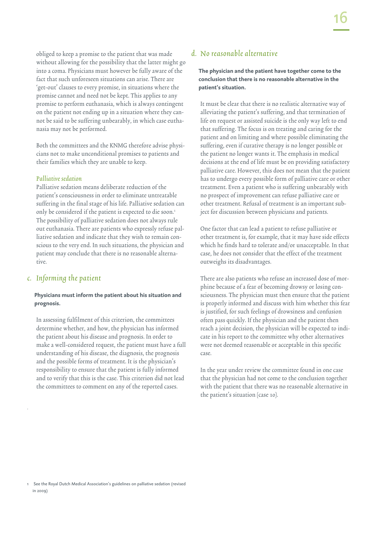obliged to keep a promise to the patient that was made without allowing for the possibility that the latter might go into a coma. Physicians must however be fully aware of the fact that such unforeseen situations can arise. There are 'get-out' clauses to every promise, in situations where the promise cannot and need not be kept. This applies to any promise to perform euthanasia, which is always contingent on the patient not ending up in a situation where they cannot be said to be suffering unbearably, in which case euthanasia may not be performed.

Both the committees and the KNMG therefore advise physicians not to make unconditional promises to patients and their families which they are unable to keep.

#### Palliative sedation

Palliative sedation means deliberate reduction of the patient's consciousness in order to eliminate untreatable suffering in the final stage of his life. Palliative sedation can only be considered if the patient is expected to die soon.<sup>1</sup> The possibility of palliative sedation does not always rule out euthanasia. There are patients who expressly refuse palliative sedation and indicate that they wish to remain conscious to the very end. In such situations, the physician and patient may conclude that there is no reasonable alternative.

#### c. Informing the patient

.

#### **Physicians must inform the patient about his situation and prognosis.**

In assessing fulfilment of this criterion, the committees determine whether, and how, the physician has informed the patient about his disease and prognosis. In order to make a well-considered request, the patient must have a full understanding of his disease, the diagnosis, the prognosis and the possible forms of treatment. It is the physician's responsibility to ensure that the patient is fully informed and to verify that this is the case. This criterion did not lead the committees to comment on any of the reported cases.

#### d. No reasonable alternative

#### **The physician and the patient have together come to the conclusion that there is no reasonable alternative in the patient's situation.**

It must be clear that there is no realistic alternative way of alleviating the patient's suffering, and that termination of life on request or assisted suicide is the only way left to end that suffering. The focus is on treating and caring for the patient and on limiting and where possible eliminating the suffering, even if curative therapy is no longer possible or the patient no longer wants it. The emphasis in medical decisions at the end of life must be on providing satisfactory palliative care. However, this does not mean that the patient has to undergo every possible form of palliative care or other treatment. Even a patient who is suffering unbearably with no prospect of improvement can refuse palliative care or other treatment. Refusal of treatment is an important subject for discussion between physicians and patients.

One factor that can lead a patient to refuse palliative or other treatment is, for example, that it may have side effects which he finds hard to tolerate and/or unacceptable. In that case, he does not consider that the effect of the treatment outweighs its disadvantages.

There are also patients who refuse an increased dose of morphine because of a fear of becoming drowsy or losing consciousness. The physician must then ensure that the patient is properly informed and discuss with him whether this fear is justified, for such feelings of drowsiness and confusion often pass quickly. If the physician and the patient then reach a joint decision, the physician will be expected to indicate in his report to the committee why other alternatives were not deemed reasonable or acceptable in this specific case.

In the year under review the committee found in one case that the physician had not come to the conclusion together with the patient that there was no reasonable alternative in the patient's situation (case 10).

<sup>1</sup> See the Royal Dutch Medical Association's guidelines on palliative sedation (revised in 2009)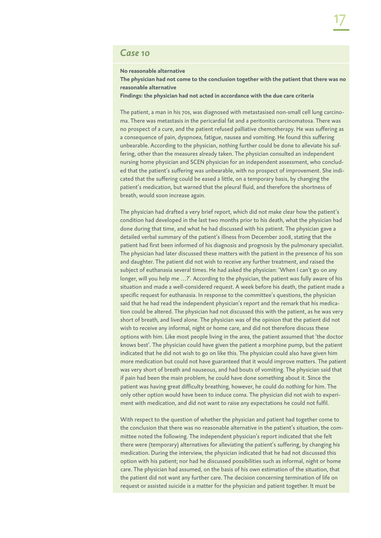### *Case 10*

**No reasonable alternative**

**The physician had not come to the conclusion together with the patient that there was no reasonable alternative**

**Findings: the physician had not acted in accordance with the due care criteria**

The patient, a man in his 70s, was diagnosed with metastasised non-small cell lung carcinoma. There was metastasis in the pericardial fat and a peritonitis carcinomatosa. There was no prospect of a cure, and the patient refused palliative chemotherapy. He was suffering as a consequence of pain, dyspnoea, fatigue, nausea and vomiting. He found this suffering unbearable. According to the physician, nothing further could be done to alleviate his suffering, other than the measures already taken. The physician consulted an independent nursing home physician and SCEN physician for an independent assessment, who concluded that the patient's suffering was unbearable, with no prospect of improvement. She indicated that the suffering could be eased a little, on a temporary basis, by changing the patient's medication, but warned that the pleural fluid, and therefore the shortness of breath, would soon increase again.

The physician had drafted a very brief report, which did not make clear how the patient's condition had developed in the last two months prior to his death, what the physician had done during that time, and what he had discussed with his patient. The physician gave a detailed verbal summary of the patient's illness from December 2008, stating that the patient had first been informed of his diagnosis and prognosis by the pulmonary specialist. The physician had later discussed these matters with the patient in the presence of his son and daughter. The patient did not wish to receive any further treatment, and raised the subject of euthanasia several times. He had asked the physician: 'When I can't go on any longer, will you help me …?'. According to the physician, the patient was fully aware of his situation and made a well-considered request. A week before his death, the patient made a specific request for euthanasia. In response to the committee's questions, the physician said that he had read the independent physician's report and the remark that his medication could be altered. The physician had not discussed this with the patient, as he was very short of breath, and lived alone. The physician was of the opinion that the patient did not wish to receive any informal, night or home care, and did not therefore discuss these options with him. Like most people living in the area, the patient assumed that 'the doctor knows best'. The physician could have given the patient a morphine pump, but the patient indicated that he did not wish to go on like this. The physician could also have given him more medication but could not have guaranteed that it would improve matters. The patient was very short of breath and nauseous, and had bouts of vomiting. The physician said that if pain had been the main problem, he could have done something about it. Since the patient was having great difficulty breathing, however, he could do nothing for him. The only other option would have been to induce coma. The physician did not wish to experiment with medication, and did not want to raise any expectations he could not fulfil.

With respect to the question of whether the physician and patient had together come to the conclusion that there was no reasonable alternative in the patient's situation, the committee noted the following. The independent physician's report indicated that she felt there were (temporary) alternatives for alleviating the patient's suffering, by changing his medication. During the interview, the physician indicated that he had not discussed this option with his patient; nor had he discussed possibilities such as informal, night or home care. The physician had assumed, on the basis of his own estimation of the situation, that the patient did not want any further care. The decision concerning termination of life on request or assisted suicide is a matter for the physician and patient together. It must be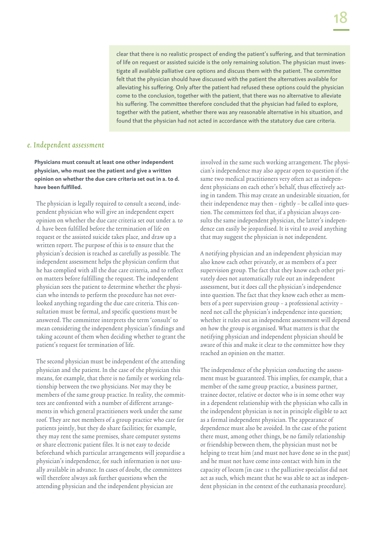clear that there is no realistic prospect of ending the patient's suffering, and that termination of life on request or assisted suicide is the only remaining solution. The physician must investigate all available palliative care options and discuss them with the patient. The committee felt that the physician should have discussed with the patient the alternatives available for alleviating his suffering. Only after the patient had refused these options could the physician come to the conclusion, together with the patient, that there was no alternative to alleviate his suffering. The committee therefore concluded that the physician had failed to explore, together with the patient, whether there was any reasonable alternative in his situation, and found that the physician had not acted in accordance with the statutory due care criteria.

#### e. Independent assessment

**Physicians must consult at least one other independent physician, who must see the patient and give a written opinion on whether the due care criteria set out in a. to d. have been fulfilled.**

The physician is legally required to consult a second, independent physician who will give an independent expert opinion on whether the due care criteria set out under a. to d. have been fulfilled before the termination of life on request or the assisted suicide takes place, and draw up a written report. The purpose of this is to ensure that the physician's decision is reached as carefully as possible. The independent assessment helps the physician confirm that he has complied with all the due care criteria, and to reflect on matters before fulfilling the request. The independent physician sees the patient to determine whether the physician who intends to perform the procedure has not overlooked anything regarding the due care criteria. This consultation must be formal, and specific questions must be answered. The committee interprets the term 'consult' to mean considering the independent physician's findings and taking account of them when deciding whether to grant the patient's request for termination of life.

The second physician must be independent of the attending physician and the patient. In the case of the physician this means, for example, that there is no family or working relationship between the two physicians. Nor may they be members of the same group practice. In reality, the committees are confronted with a number of different arrangements in which general practitioners work under the same roof. They are not members of a group practice who care for patients jointly, but they do share facilities; for example, they may rent the same premises, share computer systems or share electronic patient files. It is not easy to decide beforehand which particular arrangements will jeopardise a physician's independence, for such information is not usually available in advance. In cases of doubt, the committees will therefore always ask further questions when the attending physician and the independent physician are

involved in the same such working arrangement. The physician's independence may also appear open to question if the same two medical practitioners very often act as independent physicians on each other's behalf, thus effectively acting in tandem. This may create an undesirable situation, for their independence may then – rightly – be called into question. The committees feel that, if a physician always consults the same independent physician, the latter's independence can easily be jeopardised. It is vital to avoid anything that may suggest the physician is not independent.

A notifying physician and an independent physician may also know each other privately, or as members of a peer supervision group. The fact that they know each other privately does not automatically rule out an independent assessment, but it does call the physician's independence into question. The fact that they know each other as members of a peer supervision group – a professional activity – need not call the physician's independence into question; whether it rules out an independent assessment will depend on how the group is organised. What matters is that the notifying physician and independent physician should be aware of this and make it clear to the committee how they reached an opinion on the matter.

The independence of the physician conducting the assessment must be guaranteed. This implies, for example, that a member of the same group practice, a business partner, trainee doctor, relative or doctor who is in some other way in a dependent relationship with the physician who calls in the independent physician is not in principle eligible to act as a formal independent physician. The appearance of dependence must also be avoided. In the case of the patient there must, among other things, be no family relationship or friendship between them, the physician must not be helping to treat him (and must not have done so in the past) and he must not have come into contact with him in the capacity of locum (in case 11 the palliative specialist did not act as such, which meant that he was able to act as independent physician in the context of the euthanasia procedure).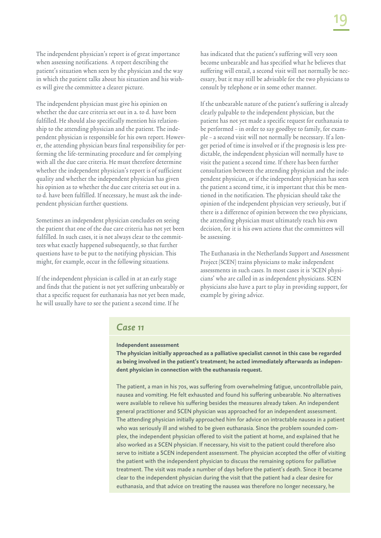The independent physician's report is of great importance when assessing notifications. A report describing the patient's situation when seen by the physician and the way in which the patient talks about his situation and his wishes will give the committee a clearer picture.

The independent physician must give his opinion on whether the due care criteria set out in a. to d. have been fulfilled. He should also specifically mention his relationship to the attending physician and the patient. The independent physician is responsible for his own report. However, the attending physician bears final responsibility for performing the life-terminating procedure and for complying with all the due care criteria. He must therefore determine whether the independent physician's report is of sufficient quality and whether the independent physician has given his opinion as to whether the due care criteria set out in a. to d. have been fulfilled. If necessary, he must ask the independent physician further questions.

Sometimes an independent physician concludes on seeing the patient that one of the due care criteria has not yet been fulfilled. In such cases, it is not always clear to the committees what exactly happened subsequently, so that further questions have to be put to the notifying physician. This might, for example, occur in the following situations.

If the independent physician is called in at an early stage and finds that the patient is not yet suffering unbearably or that a specific request for euthanasia has not yet been made, he will usually have to see the patient a second time. If he

has indicated that the patient's suffering will very soon become unbearable and has specified what he believes that suffering will entail, a second visit will not normally be necessary, but it may still be advisable for the two physicians to consult by telephone or in some other manner.

If the unbearable nature of the patient's suffering is already clearly palpable to the independent physician, but the patient has not yet made a specific request for euthanasia to be performed – in order to say goodbye to family, for example – a second visit will not normally be necessary. If a longer period of time is involved or if the prognosis is less predictable, the independent physician will normally have to visit the patient a second time. If there has been further consultation between the attending physician and the independent physician, or if the independent physician has seen the patient a second time, it is important that this be mentioned in the notification. The physician should take the opinion of the independent physician very seriously, but if there is a difference of opinion between the two physicians, the attending physician must ultimately reach his own decision, for it is his own actions that the committees will be assessing.

The Euthanasia in the Netherlands Support and Assessment Project (SCEN) trains physicians to make independent assessments in such cases. In most cases it is 'SCEN physicians' who are called in as independent physicians. SCEN physicians also have a part to play in providing support, for example by giving advice.

#### *Case 11*

#### **Independent assessment**

**The physician initially approached as a palliative specialist cannot in this case be regarded as being involved in the patient's treatment; he acted immediately afterwards as independent physician in connection with the euthanasia request.**

The patient, a man in his 70s, was suffering from overwhelming fatigue, uncontrollable pain, nausea and vomiting. He felt exhausted and found his suffering unbearable. No alternatives were available to relieve his suffering besides the measures already taken. An independent general practitioner and SCEN physician was approached for an independent assessment. The attending physician initially approached him for advice on intractable nausea in a patient who was seriously ill and wished to be given euthanasia. Since the problem sounded complex, the independent physician offered to visit the patient at home, and explained that he also worked as a SCEN physician. If necessary, his visit to the patient could therefore also serve to initiate a SCEN independent assessment. The physician accepted the offer of visiting the patient with the independent physician to discuss the remaining options for palliative treatment. The visit was made a number of days before the patient's death. Since it became clear to the independent physician during the visit that the patient had a clear desire for euthanasia, and that advice on treating the nausea was therefore no longer necessary, he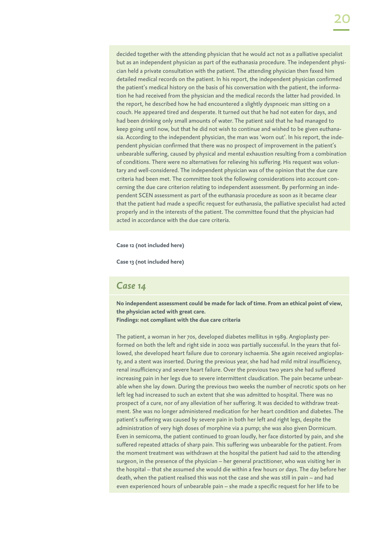decided together with the attending physician that he would act not as a palliative specialist but as an independent physician as part of the euthanasia procedure. The independent physician held a private consultation with the patient. The attending physician then faxed him detailed medical records on the patient. In his report, the independent physician confirmed the patient's medical history on the basis of his conversation with the patient, the information he had received from the physician and the medical records the latter had provided. In the report, he described how he had encountered a slightly dyspnoeic man sitting on a couch. He appeared tired and desperate. It turned out that he had not eaten for days, and had been drinking only small amounts of water. The patient said that he had managed to keep going until now, but that he did not wish to continue and wished to be given euthanasia. According to the independent physician, the man was 'worn out'. In his report, the independent physician confirmed that there was no prospect of improvement in the patient's unbearable suffering, caused by physical and mental exhaustion resulting from a combination of conditions. There were no alternatives for relieving his suffering. His request was voluntary and well-considered. The independent physician was of the opinion that the due care criteria had been met. The committee took the following considerations into account concerning the due care criterion relating to independent assessment. By performing an independent SCEN assessment as part of the euthanasia procedure as soon as it became clear that the patient had made a specific request for euthanasia, the palliative specialist had acted properly and in the interests of the patient. The committee found that the physician had acted in accordance with the due care criteria.

**Case 12 (not included here)**

**Case 13 (not included here)**

#### *Case 14*

**No independent assessment could be made for lack of time. From an ethical point of view, the physician acted with great care.**

**Findings: not compliant with the due care criteria**

The patient, a woman in her 70s, developed diabetes mellitus in 1989. Angioplasty performed on both the left and right side in 2002 was partially successful. In the years that followed, she developed heart failure due to coronary ischaemia. She again received angioplasty, and a stent was inserted. During the previous year, she had had mild mitral insufficiency, renal insufficiency and severe heart failure. Over the previous two years she had suffered increasing pain in her legs due to severe intermittent claudication. The pain became unbearable when she lay down. During the previous two weeks the number of necrotic spots on her left leg had increased to such an extent that she was admitted to hospital. There was no prospect of a cure, nor of any alleviation of her suffering. It was decided to withdraw treatment. She was no longer administered medication for her heart condition and diabetes. The patient's suffering was caused by severe pain in both her left and right legs, despite the administration of very high doses of morphine via a pump; she was also given Dormicum. Even in semicoma, the patient continued to groan loudly, her face distorted by pain, and she suffered repeated attacks of sharp pain. This suffering was unbearable for the patient. From the moment treatment was withdrawn at the hospital the patient had said to the attending surgeon, in the presence of the physician – her general practitioner, who was visiting her in the hospital – that she assumed she would die within a few hours or days. The day before her death, when the patient realised this was not the case and she was still in pain – and had even experienced hours of unbearable pain – she made a specific request for her life to be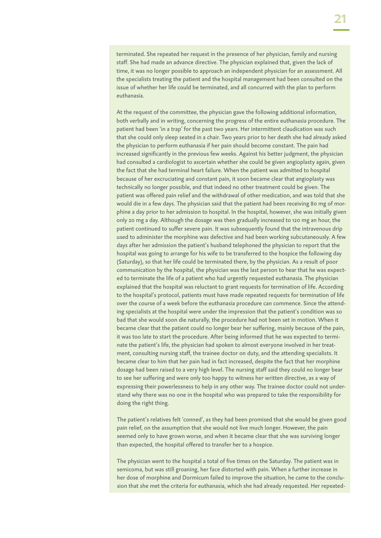terminated. She repeated her request in the presence of her physician, family and nursing staff. She had made an advance directive. The physician explained that, given the lack of time, it was no longer possible to approach an independent physician for an assessment. All the specialists treating the patient and the hospital management had been consulted on the issue of whether her life could be terminated, and all concurred with the plan to perform euthanasia.

At the request of the committee, the physician gave the following additional information, both verbally and in writing, concerning the progress of the entire euthanasia procedure. The patient had been 'in a trap' for the past two years. Her intermittent claudication was such that she could only sleep seated in a chair. Two years prior to her death she had already asked the physician to perform euthanasia if her pain should become constant. The pain had increased significantly in the previous few weeks. Against his better judgment, the physician had consulted a cardiologist to ascertain whether she could be given angioplasty again, given the fact that she had terminal heart failure. When the patient was admitted to hospital because of her excruciating and constant pain, it soon became clear that angioplasty was technically no longer possible, and that indeed no other treatment could be given. The patient was offered pain relief and the withdrawal of other medication, and was told that she would die in a few days. The physician said that the patient had been receiving 80 mg of morphine a day prior to her admission to hospital. In the hospital, however, she was initially given only 20 mg a day. Although the dosage was then gradually increased to 120 mg an hour, the patient continued to suffer severe pain. It was subsequently found that the intravenous drip used to administer the morphine was defective and had been working subcutaneously. A few days after her admission the patient's husband telephoned the physician to report that the hospital was going to arrange for his wife to be transferred to the hospice the following day (Saturday), so that her life could be terminated there, by the physician. As a result of poor communication by the hospital, the physician was the last person to hear that he was expected to terminate the life of a patient who had urgently requested euthanasia. The physician explained that the hospital was reluctant to grant requests for termination of life. According to the hospital's protocol, patients must have made repeated requests for termination of life over the course of a week before the euthanasia procedure can commence. Since the attending specialists at the hospital were under the impression that the patient's condition was so bad that she would soon die naturally, the procedure had not been set in motion. When it became clear that the patient could no longer bear her suffering, mainly because of the pain, it was too late to start the procedure. After being informed that he was expected to terminate the patient's life, the physician had spoken to almost everyone involved in her treatment, consulting nursing staff, the trainee doctor on duty, and the attending specialists. It became clear to him that her pain had in fact increased, despite the fact that her morphine dosage had been raised to a very high level. The nursing staff said they could no longer bear to see her suffering and were only too happy to witness her written directive, as a way of expressing their powerlessness to help in any other way. The trainee doctor could not understand why there was no one in the hospital who was prepared to take the responsibility for doing the right thing.

The patient's relatives felt 'conned', as they had been promised that she would be given good pain relief, on the assumption that she would not live much longer. However, the pain seemed only to have grown worse, and when it became clear that she was surviving longer than expected, the hospital offered to transfer her to a hospice.

The physician went to the hospital a total of five times on the Saturday. The patient was in semicoma, but was still groaning, her face distorted with pain. When a further increase in her dose of morphine and Dormicum failed to improve the situation, he came to the conclusion that she met the criteria for euthanasia, which she had already requested. Her repeated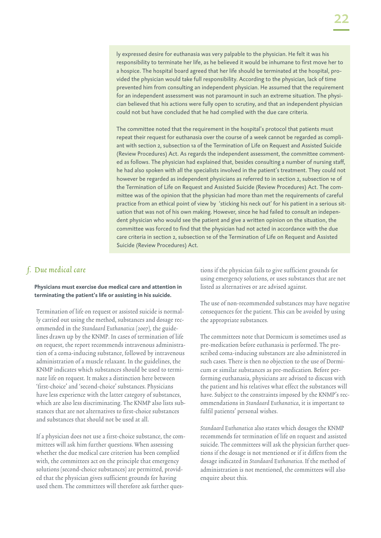ly expressed desire for euthanasia was very palpable to the physician. He felt it was his responsibility to terminate her life, as he believed it would be inhumane to first move her to a hospice. The hospital board agreed that her life should be terminated at the hospital, provided the physician would take full responsibility. According to the physician, lack of time prevented him from consulting an independent physician. He assumed that the requirement for an independent assessment was not paramount in such an extreme situation. The physician believed that his actions were fully open to scrutiny, and that an independent physician could not but have concluded that he had complied with the due care criteria.

The committee noted that the requirement in the hospital's protocol that patients must repeat their request for euthanasia over the course of a week cannot be regarded as compliant with section 2, subsection 1a of the Termination of Life on Request and Assisted Suicide (Review Procedures) Act. As regards the independent assessment, the committee commented as follows. The physician had explained that, besides consulting a number of nursing staff, he had also spoken with all the specialists involved in the patient's treatment. They could not however be regarded as independent physicians as referred to in section 2, subsection 1e of the Termination of Life on Request and Assisted Suicide (Review Procedures) Act. The committee was of the opinion that the physician had more than met the requirements of careful practice from an ethical point of view by 'sticking his neck out' for his patient in a serious situation that was not of his own making. However, since he had failed to consult an independent physician who would see the patient and give a written opinion on the situation, the committee was forced to find that the physician had not acted in accordance with the due care criteria in section 2, subsection 1e of the Termination of Life on Request and Assisted Suicide (Review Procedures) Act.

### f. Due medical care

#### **Physicians must exercise due medical care and attention in terminating the patient's life or assisting in his suicide.**

Termination of life on request or assisted suicide is normally carried out using the method, substances and dosage recommended in the Standaard Euthanatica (2007), the guidelines drawn up by the KNMP. In cases of termination of life on request, the report recommends intravenous administration of a coma-inducing substance, followed by intravenous administration of a muscle relaxant. In the guidelines, the KNMP indicates which substances should be used to terminate life on request. It makes a distinction here between 'first-choice' and 'second-choice' substances. Physicians have less experience with the latter category of substances, which are also less discriminating. The KNMP also lists substances that are not alternatives to first-choice substances and substances that should not be used at all.

If a physician does not use a first-choice substance, the committees will ask him further questions. When assessing whether the due medical care criterion has been complied with, the committees act on the principle that emergency solutions (second-choice substances) are permitted, provided that the physician gives sufficient grounds for having used them. The committees will therefore ask further questions if the physician fails to give sufficient grounds for using emergency solutions, or uses substances that are not listed as alternatives or are advised against.

The use of non-recommended substances may have negative consequences for the patient. This can be avoided by using the appropriate substances.

The committees note that Dormicum is sometimes used as pre-medication before euthanasia is performed. The prescribed coma-inducing substances are also administered in such cases. There is then no objection to the use of Dormicum or similar substances as pre-medication. Before performing euthanasia, physicians are advised to discuss with the patient and his relatives what effect the substances will have. Subject to the constraints imposed by the KNMP's recommendations in Standaard Euthanatica, it is important to fulfil patients' personal wishes.

Standaard Euthanatica also states which dosages the KNMP recommends for termination of life on request and assisted suicide. The committees will ask the physician further questions if the dosage is not mentioned or if it differs from the dosage indicated in Standaard Euthanatica. If the method of administration is not mentioned, the committees will also enquire about this.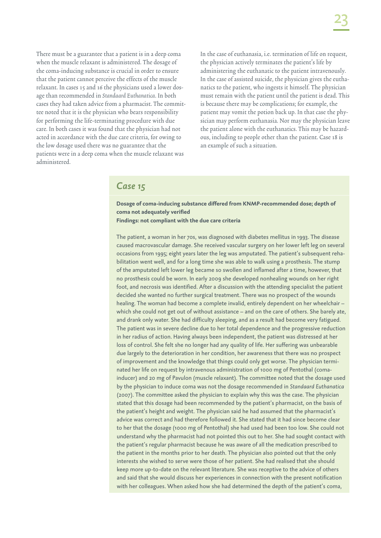There must be a guarantee that a patient is in a deep coma when the muscle relaxant is administered. The dosage of the coma-inducing substance is crucial in order to ensure that the patient cannot perceive the effects of the muscle relaxant. In cases 15 and 16 the physicians used a lower dosage than recommended in Standaard Euthanatica. In both cases they had taken advice from a pharmacist. The committee noted that it is the physician who bears responsibility for performing the life-terminating procedure with due care. In both cases it was found that the physician had not acted in accordance with the due care criteria, for owing to the low dosage used there was no guarantee that the patients were in a deep coma when the muscle relaxant was administered.

In the case of euthanasia, i.e. termination of life on request, the physician actively terminates the patient's life by administering the euthanatic to the patient intravenously. In the case of assisted suicide, the physician gives the euthanatics to the patient, who ingests it himself. The physician must remain with the patient until the patient is dead. This is because there may be complications; for example, the patient may vomit the potion back up. In that case the physician may perform euthanasia. Nor may the physician leave the patient alone with the euthanatics. This may be hazardous, including to people other than the patient. Case 18 is an example of such a situation.

### *Case 15*

**Dosage of coma-inducing substance differed from KNMP-recommended dose; depth of coma not adequately verified**

**Findings: not compliant with the due care criteria**

The patient, a woman in her 70s, was diagnosed with diabetes mellitus in 1993. The disease caused macrovascular damage. She received vascular surgery on her lower left leg on several occasions from 1995; eight years later the leg was amputated. The patient's subsequent rehabilitation went well, and for a long time she was able to walk using a prosthesis. The stump of the amputated left lower leg became so swollen and inflamed after a time, however, that no prosthesis could be worn. In early 2009 she developed nonhealing wounds on her right foot, and necrosis was identified. After a discussion with the attending specialist the patient decided she wanted no further surgical treatment. There was no prospect of the wounds healing. The woman had become a complete invalid, entirely dependent on her wheelchair – which she could not get out of without assistance – and on the care of others. She barely ate, and drank only water. She had difficulty sleeping, and as a result had become very fatigued. The patient was in severe decline due to her total dependence and the progressive reduction in her radius of action. Having always been independent, the patient was distressed at her loss of control. She felt she no longer had any quality of life. Her suffering was unbearable due largely to the deterioration in her condition, her awareness that there was no prospect of improvement and the knowledge that things could only get worse. The physician terminated her life on request by intravenous administration of 1000 mg of Pentothal (comainducer) and 20 mg of Pavulon (muscle relaxant). The committee noted that the dosage used by the physician to induce coma was not the dosage recommended in *Standaard Euthanatica*  (2007). The committee asked the physician to explain why this was the case. The physician stated that this dosage had been recommended by the patient's pharmacist, on the basis of the patient's height and weight. The physician said he had assumed that the pharmacist's advice was correct and had therefore followed it. She stated that it had since become clear to her that the dosage (1000 mg of Pentothal) she had used had been too low. She could not understand why the pharmacist had not pointed this out to her. She had sought contact with the patient's regular pharmacist because he was aware of all the medication prescribed to the patient in the months prior to her death. The physician also pointed out that the only interests she wished to serve were those of her patient. She had realised that she should keep more up-to-date on the relevant literature. She was receptive to the advice of others and said that she would discuss her experiences in connection with the present notification with her colleagues. When asked how she had determined the depth of the patient's coma,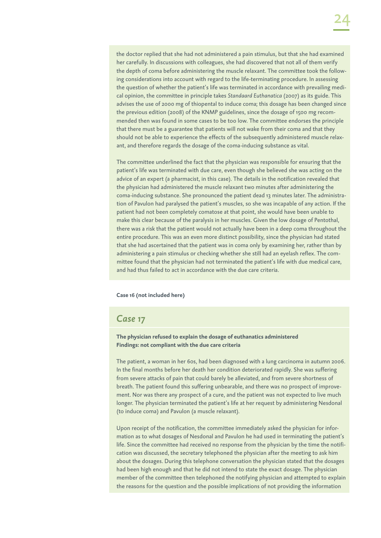the doctor replied that she had not administered a pain stimulus, but that she had examined her carefully. In discussions with colleagues, she had discovered that not all of them verify the depth of coma before administering the muscle relaxant. The committee took the following considerations into account with regard to the life-terminating procedure. In assessing the question of whether the patient's life was terminated in accordance with prevailing medical opinion, the committee in principle takes *Standaard Euthanatica* (2007) as its guide. This advises the use of 2000 mg of thiopental to induce coma; this dosage has been changed since the previous edition (2008) of the KNMP guidelines, since the dosage of 1500 mg recommended then was found in some cases to be too low. The committee endorses the principle that there must be a guarantee that patients will not wake from their coma and that they should not be able to experience the effects of the subsequently administered muscle relaxant, and therefore regards the dosage of the coma-inducing substance as vital.

The committee underlined the fact that the physician was responsible for ensuring that the patient's life was terminated with due care, even though she believed she was acting on the advice of an expert (a pharmacist, in this case). The details in the notification revealed that the physician had administered the muscle relaxant two minutes after administering the coma-inducing substance. She pronounced the patient dead 13 minutes later. The administration of Pavulon had paralysed the patient's muscles, so she was incapable of any action. If the patient had not been completely comatose at that point, she would have been unable to make this clear because of the paralysis in her muscles. Given the low dosage of Pentothal, there was a risk that the patient would not actually have been in a deep coma throughout the entire procedure. This was an even more distinct possibility, since the physician had stated that she had ascertained that the patient was in coma only by examining her, rather than by administering a pain stimulus or checking whether she still had an eyelash reflex. The committee found that the physician had not terminated the patient's life with due medical care, and had thus failed to act in accordance with the due care criteria.

#### **Case 16 (not included here)**

#### *Case 17*

#### **The physician refused to explain the dosage of euthanatics administered Findings: not compliant with the due care criteria**

The patient, a woman in her 60s, had been diagnosed with a lung carcinoma in autumn 2006. In the final months before her death her condition deteriorated rapidly. She was suffering from severe attacks of pain that could barely be alleviated, and from severe shortness of breath. The patient found this suffering unbearable, and there was no prospect of improvement. Nor was there any prospect of a cure, and the patient was not expected to live much longer. The physician terminated the patient's life at her request by administering Nesdonal (to induce coma) and Pavulon (a muscle relaxant).

Upon receipt of the notification, the committee immediately asked the physician for information as to what dosages of Nesdonal and Pavulon he had used in terminating the patient's life. Since the committee had received no response from the physician by the time the notification was discussed, the secretary telephoned the physician after the meeting to ask him about the dosages. During this telephone conversation the physician stated that the dosages had been high enough and that he did not intend to state the exact dosage. The physician member of the committee then telephoned the notifying physician and attempted to explain the reasons for the question and the possible implications of not providing the information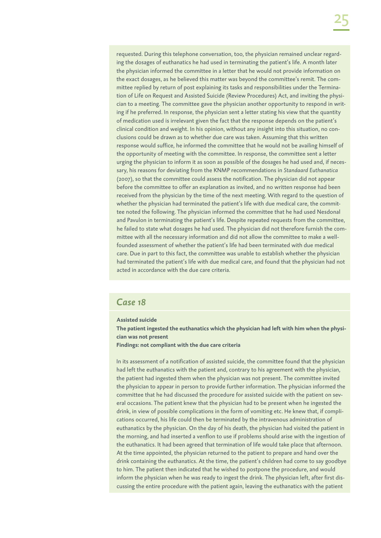requested. During this telephone conversation, too, the physician remained unclear regarding the dosages of euthanatics he had used in terminating the patient's life. A month later the physician informed the committee in a letter that he would not provide information on the exact dosages, as he believed this matter was beyond the committee's remit. The committee replied by return of post explaining its tasks and responsibilities under the Termination of Life on Request and Assisted Suicide (Review Procedures) Act, and inviting the physician to a meeting. The committee gave the physician another opportunity to respond in writing if he preferred. In response, the physician sent a letter stating his view that the quantity of medication used is irrelevant given the fact that the response depends on the patient's clinical condition and weight. In his opinion, without any insight into this situation, no conclusions could be drawn as to whether due care was taken. Assuming that this written response would suffice, he informed the committee that he would not be availing himself of the opportunity of meeting with the committee. In response, the committee sent a letter urging the physician to inform it as soon as possible of the dosages he had used and, if necessary, his reasons for deviating from the KNMP recommendations in *Standaard Euthanatica* (2007), so that the committee could assess the notification. The physician did not appear before the committee to offer an explanation as invited, and no written response had been received from the physician by the time of the next meeting. With regard to the question of whether the physician had terminated the patient's life with due medical care, the committee noted the following. The physician informed the committee that he had used Nesdonal and Pavulon in terminating the patient's life. Despite repeated requests from the committee, he failed to state what dosages he had used. The physician did not therefore furnish the committee with all the necessary information and did not allow the committee to make a wellfounded assessment of whether the patient's life had been terminated with due medical care. Due in part to this fact, the committee was unable to establish whether the physician had terminated the patient's life with due medical care, and found that the physician had not acted in accordance with the due care criteria.

## *Case 18*

#### **Assisted suicide**

**The patient ingested the euthanatics which the physician had left with him when the physician was not present**

**Findings: not compliant with the due care criteria**

In its assessment of a notification of assisted suicide, the committee found that the physician had left the euthanatics with the patient and, contrary to his agreement with the physician, the patient had ingested them when the physician was not present. The committee invited the physician to appear in person to provide further information. The physician informed the committee that he had discussed the procedure for assisted suicide with the patient on several occasions. The patient knew that the physician had to be present when he ingested the drink, in view of possible complications in the form of vomiting etc. He knew that, if complications occurred, his life could then be terminated by the intravenous administration of euthanatics by the physician. On the day of his death, the physician had visited the patient in the morning, and had inserted a venflon to use if problems should arise with the ingestion of the euthanatics. It had been agreed that termination of life would take place that afternoon. At the time appointed, the physician returned to the patient to prepare and hand over the drink containing the euthanatics. At the time, the patient's children had come to say goodbye to him. The patient then indicated that he wished to postpone the procedure, and would inform the physician when he was ready to ingest the drink. The physician left, after first discussing the entire procedure with the patient again, leaving the euthanatics with the patient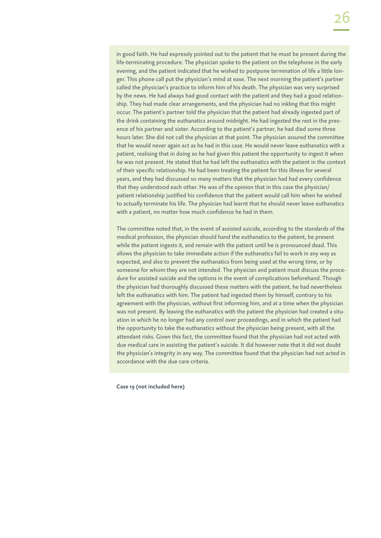in good faith. He had expressly pointed out to the patient that he must be present during the life-terminating procedure. The physician spoke to the patient on the telephone in the early evening, and the patient indicated that he wished to postpone termination of life a little longer. This phone call put the physician's mind at ease. The next morning the patient's partner called the physician's practice to inform him of his death. The physician was very surprised by the news. He had always had good contact with the patient and they had a good relationship. They had made clear arrangements, and the physician had no inkling that this might occur. The patient's partner told the physician that the patient had already ingested part of the drink containing the euthanatics around midnight. He had ingested the rest in the presence of his partner and sister. According to the patient's partner, he had died some three hours later. She did not call the physician at that point. The physician assured the committee that he would never again act as he had in this case. He would never leave euthanatics with a patient, realising that in doing so he had given this patient the opportunity to ingest it when he was not present. He stated that he had left the euthanatics with the patient in the context of their specific relationship. He had been treating the patient for this illness for several years, and they had discussed so many matters that the physician had had every confidence that they understood each other. He was of the opinion that in this case the physician/ patient relationship justified his confidence that the patient would call him when he wished to actually terminate his life. The physician had learnt that he should never leave euthanatics with a patient, no matter how much confidence he had in them.

The committee noted that, in the event of assisted suicide, according to the standards of the medical profession, the physician should hand the euthanatics to the patient, be present while the patient ingests it, and remain with the patient until he is pronounced dead. This allows the physician to take immediate action if the euthanatics fail to work in any way as expected, and also to prevent the euthanatics from being used at the wrong time, or by someone for whom they are not intended. The physician and patient must discuss the procedure for assisted suicide and the options in the event of complications beforehand. Though the physician had thoroughly discussed these matters with the patient, he had nevertheless left the euthanatics with him. The patient had ingested them by himself, contrary to his agreement with the physician, without first informing him, and at a time when the physician was not present. By leaving the euthanatics with the patient the physician had created a situation in which he no longer had any control over proceedings, and in which the patient had the opportunity to take the euthanatics without the physician being present, with all the attendant risks. Given this fact, the committee found that the physician had not acted with due medical care in assisting the patient's suicide. It did however note that it did not doubt the physician's integrity in any way. The committee found that the physician had not acted in accordance with the due care criteria.

**Case 19 (not included here)**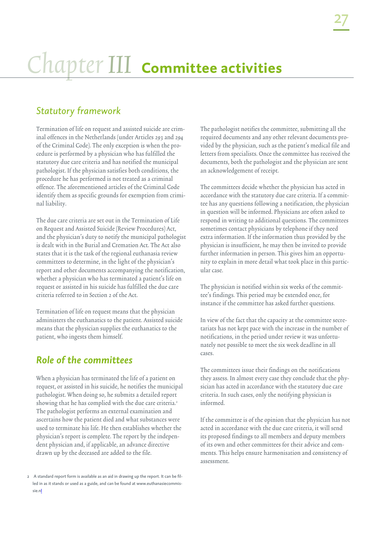## Chapter III **Committee activities**

## *Statutory framework*

Termination of life on request and assisted suicide are criminal offences in the Netherlands (under Articles 293 and 294 of the Criminal Code). The only exception is when the procedure is performed by a physician who has fulfilled the statutory due care criteria and has notified the municipal pathologist. If the physician satisfies both conditions, the procedure he has performed is not treated as a criminal offence. The aforementioned articles of the Criminal Code identify them as specific grounds for exemption from criminal liability.

The due care criteria are set out in the Termination of Life on Request and Assisted Suicide (Review Procedures) Act, and the physician's duty to notify the municipal pathologist is dealt with in the Burial and Cremation Act. The Act also states that it is the task of the regional euthanasia review committees to determine, in the light of the physician's report and other documents accompanying the notification, whether a physician who has terminated a patient's life on request or assisted in his suicide has fulfilled the due care criteria referred to in Section 2 of the Act.

Termination of life on request means that the physician administers the euthanatics to the patient. Assisted suicide means that the physician supplies the euthanatics to the patient, who ingests them himself.

## *Role of the committees*

When a physician has terminated the life of a patient on request, or assisted in his suicide, he notifies the municipal pathologist. When doing so, he submits a detailed report showing that he has complied with the due care criteria.<sup>2</sup> The pathologist performs an external examination and ascertains how the patient died and what substances were used to terminate his life. He then establishes whether the physician's report is complete. The report by the independent physician and, if applicable, an advance directive drawn up by the deceased are added to the file.

The pathologist notifies the committee, submitting all the required documents and any other relevant documents provided by the physician, such as the patient's medical file and letters from specialists. Once the committee has received the documents, both the pathologist and the physician are sent an acknowledgement of receipt.

The committees decide whether the physician has acted in accordance with the statutory due care criteria. If a committee has any questions following a notification, the physician in question will be informed. Physicians are often asked to respond in writing to additional questions. The committees sometimes contact physicians by telephone if they need extra information. If the information thus provided by the physician is insufficient, he may then be invited to provide further information in person. This gives him an opportunity to explain in more detail what took place in this particular case.

The physician is notified within six weeks of the committee's findings. This period may be extended once, for instance if the committee has asked further questions.

In view of the fact that the capacity at the committee secretariats has not kept pace with the increase in the number of notifications, in the period under review it was unfortunately not possible to meet the six week deadline in all cases.

The committees issue their findings on the notifications they assess. In almost every case they conclude that the physician has acted in accordance with the statutory due care criteria. In such cases, only the notifying physician is informed.

If the committee is of the opinion that the physician has not acted in accordance with the due care criteria, it will send its proposed findings to all members and deputy members of its own and other committees for their advice and comments. This helps ensure harmonisation and consistency of assessment.

<sup>2</sup> A standard report form is available as an aid in drawing up the report. It can be filled in as it stands or used as a guide, and can be found at www.euthanasiecommissie.nl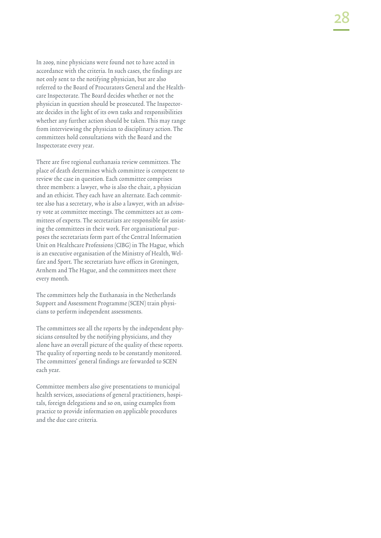In 2009, nine physicians were found not to have acted in accordance with the criteria. In such cases, the findings are not only sent to the notifying physician, but are also referred to the Board of Procurators General and the Healthcare Inspectorate. The Board decides whether or not the physician in question should be prosecuted. The Inspectorate decides in the light of its own tasks and responsibilities whether any further action should be taken. This may range from interviewing the physician to disciplinary action. The committees hold consultations with the Board and the Inspectorate every year.

There are five regional euthanasia review committees. The place of death determines which committee is competent to review the case in question. Each committee comprises three members: a lawyer, who is also the chair, a physician and an ethicist. They each have an alternate. Each committee also has a secretary, who is also a lawyer, with an advisory vote at committee meetings. The committees act as committees of experts. The secretariats are responsible for assisting the committees in their work. For organisational purposes the secretariats form part of the Central Information Unit on Healthcare Professions (CIBG) in The Hague, which is an executive organisation of the Ministry of Health, Welfare and Sport. The secretariats have offices in Groningen, Arnhem and The Hague, and the committees meet there every month.

The committees help the Euthanasia in the Netherlands Support and Assessment Programme (SCEN) train physicians to perform independent assessments.

The committees see all the reports by the independent physicians consulted by the notifying physicians, and they alone have an overall picture of the quality of these reports. The quality of reporting needs to be constantly monitored. The committees' general findings are forwarded to SCEN each year.

Committee members also give presentations to municipal health services, associations of general practitioners, hospitals, foreign delegations and so on, using examples from practice to provide information on applicable procedures and the due care criteria.